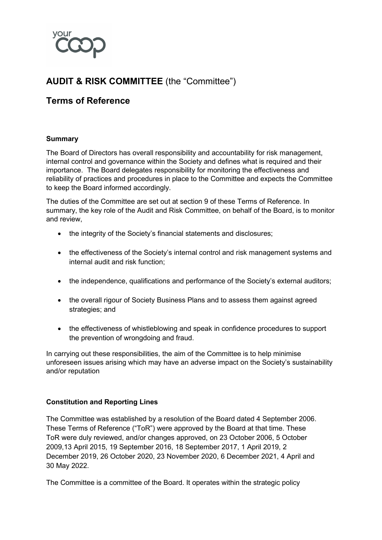

# **AUDIT & RISK COMMITTEE** (the "Committee")

## **Terms of Reference**

## **Summary**

The Board of Directors has overall responsibility and accountability for risk management, internal control and governance within the Society and defines what is required and their importance. The Board delegates responsibility for monitoring the effectiveness and reliability of practices and procedures in place to the Committee and expects the Committee to keep the Board informed accordingly.

The duties of the Committee are set out at section 9 of these Terms of Reference. In summary, the key role of the Audit and Risk Committee, on behalf of the Board, is to monitor and review,

- the integrity of the Society's financial statements and disclosures;
- the effectiveness of the Society's internal control and risk management systems and internal audit and risk function;
- the independence, qualifications and performance of the Society's external auditors;
- the overall rigour of Society Business Plans and to assess them against agreed strategies; and
- the effectiveness of whistleblowing and speak in confidence procedures to support the prevention of wrongdoing and fraud.

In carrying out these responsibilities, the aim of the Committee is to help minimise unforeseen issues arising which may have an adverse impact on the Society's sustainability and/or reputation

#### **Constitution and Reporting Lines**

The Committee was established by a resolution of the Board dated 4 September 2006. These Terms of Reference ("ToR") were approved by the Board at that time. These ToR were duly reviewed, and/or changes approved, on 23 October 2006, 5 October 2009,13 April 2015, 19 September 2016, 18 September 2017, 1 April 2019, 2 December 2019, 26 October 2020, 23 November 2020, 6 December 2021, 4 April and 30 May 2022.

The Committee is a committee of the Board. It operates within the strategic policy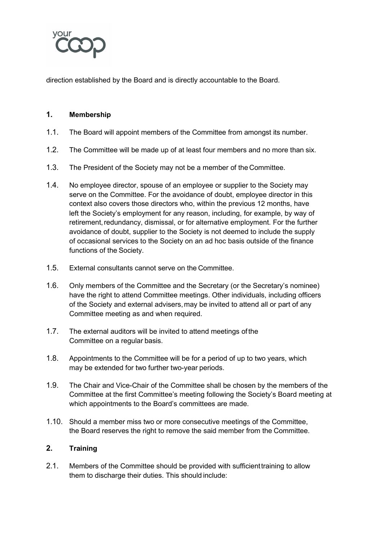

direction established by the Board and is directly accountable to the Board.

## **1. Membership**

- 1.1. The Board will appoint members of the Committee from amongst its number.
- 1.2. The Committee will be made up of at least four members and no more than six.
- 1.3. The President of the Society may not be a member of the Committee.
- 1.4. No employee director, spouse of an employee or supplier to the Society may serve on the Committee. For the avoidance of doubt, employee director in this context also covers those directors who, within the previous 12 months, have left the Society's employment for any reason, including, for example, by way of retirement, redundancy, dismissal, or for alternative employment. For the further avoidance of doubt, supplier to the Society is not deemed to include the supply of occasional services to the Society on an ad hoc basis outside of the finance functions of the Society.
- 1.5. External consultants cannot serve on the Committee.
- 1.6. Only members of the Committee and the Secretary (or the Secretary's nominee) have the right to attend Committee meetings. Other individuals, including officers of the Society and external advisers,may be invited to attend all or part of any Committee meeting as and when required.
- 1.7. The external auditors will be invited to attend meetings ofthe Committee on a regular basis.
- 1.8. Appointments to the Committee will be for a period of up to two years, which may be extended for two further two-year periods.
- 1.9. The Chair and Vice-Chair of the Committee shall be chosen by the members of the Committee at the first Committee's meeting following the Society's Board meeting at which appointments to the Board's committees are made.
- 1.10. Should a member miss two or more consecutive meetings of the Committee, the Board reserves the right to remove the said member from the Committee.

## **2. Training**

2.1. Members of the Committee should be provided with sufficient training to allow them to discharge their duties. This should include: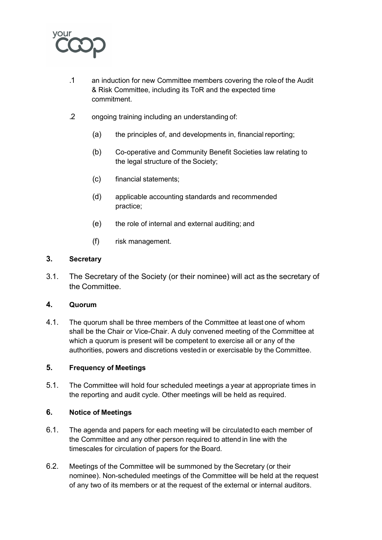

- .1 an induction for new Committee members covering the roleof the Audit & Risk Committee, including its ToR and the expected time commitment.
- .2 ongoing training including an understanding of:
	- (a) the principles of, and developments in, financial reporting;
	- (b) Co-operative and Community Benefit Societies law relating to the legal structure of the Society;
	- (c) financial statements;
	- (d) applicable accounting standards and recommended practice;
	- (e) the role of internal and external auditing; and
	- (f) risk management.

## **3. Secretary**

3.1. The Secretary of the Society (or their nominee) will act as the secretary of the Committee.

#### **4. Quorum**

4.1. The quorum shall be three members of the Committee at least one of whom shall be the Chair or Vice-Chair. A duly convened meeting of the Committee at which a quorum is present will be competent to exercise all or any of the authorities, powers and discretions vestedin or exercisable by the Committee.

#### **5. Frequency of Meetings**

5.1. The Committee will hold four scheduled meetings a year at appropriate times in the reporting and audit cycle. Other meetings will be held as required.

#### **6. Notice of Meetings**

- 6.1. The agenda and papers for each meeting will be circulatedto each member of the Committee and any other person required to attend in line with the timescales for circulation of papers for the Board.
- 6.2. Meetings of the Committee will be summoned by the Secretary (or their nominee). Non-scheduled meetings of the Committee will be held at the request of any two of its members or at the request of the external or internal auditors.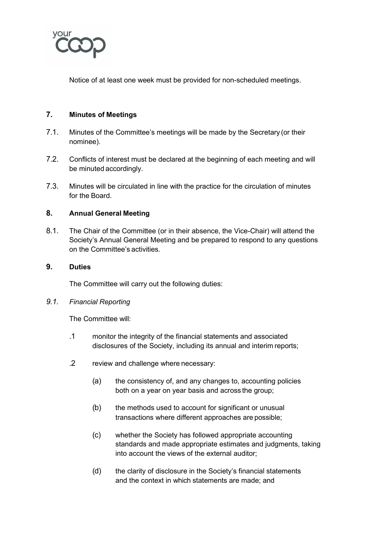

Notice of at least one week must be provided for non-scheduled meetings.

## **7. Minutes of Meetings**

- 7.1. Minutes of the Committee's meetings will be made by the Secretary (or their nominee).
- 7.2. Conflicts of interest must be declared at the beginning of each meeting and will be minuted accordingly.
- 7.3. Minutes will be circulated in line with the practice for the circulation of minutes for the Board.

#### **8. Annual General Meeting**

8.1. The Chair of the Committee (or in their absence, the Vice-Chair) will attend the Society's Annual General Meeting and be prepared to respond to any questions on the Committee's activities.

#### **9. Duties**

The Committee will carry out the following duties:

#### *9.1. Financial Reporting*

The Committee will:

- .1 monitor the integrity of the financial statements and associated disclosures of the Society, including its annual and interim reports;
- .2 review and challenge where necessary:
	- (a) the consistency of, and any changes to, accounting policies both on a year on year basis and across the group;
	- (b) the methods used to account for significant or unusual transactions where different approaches are possible;
	- (c) whether the Society has followed appropriate accounting standards and made appropriate estimates and judgments, taking into account the views of the external auditor;
	- (d) the clarity of disclosure in the Society's financial statements and the context in which statements are made; and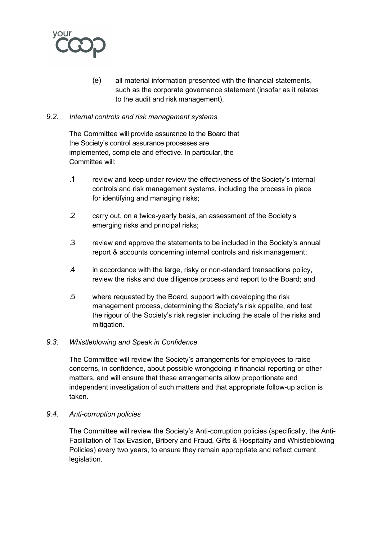

(e) all material information presented with the financial statements, such as the corporate governance statement (insofar as it relates to the audit and risk management).

#### *9.2. Internal controls and risk management systems*

The Committee will provide assurance to the Board that the Society's control assurance processes are implemented, complete and effective. In particular, the Committee will:

- .1 review and keep under review the effectiveness of theSociety's internal controls and risk management systems, including the process in place for identifying and managing risks;
- .2 carry out, on a twice-yearly basis, an assessment of the Society's emerging risks and principal risks;
- .3 review and approve the statements to be included in the Society's annual report & accounts concerning internal controls and risk management;
- .4 in accordance with the large, risky or non-standard transactions policy, review the risks and due diligence process and report to the Board; and
- .5 where requested by the Board, support with developing the risk management process, determining the Society's risk appetite, and test the rigour of the Society's risk register including the scale of the risks and mitigation.

## *9.3. Whistleblowing and Speak in Confidence*

The Committee will review the Society's arrangements for employees to raise concerns, in confidence, about possible wrongdoing infinancial reporting or other matters, and will ensure that these arrangements allow proportionate and independent investigation of such matters and that appropriate follow-up action is taken.

#### *9.4. Anti-corruption policies*

The Committee will review the Society's Anti-corruption policies (specifically, the Anti-Facilitation of Tax Evasion, Bribery and Fraud, Gifts & Hospitality and Whistleblowing Policies) every two years, to ensure they remain appropriate and reflect current legislation.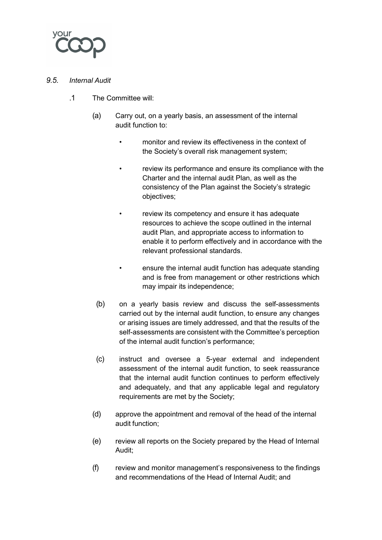

## *9.5. Internal Audit*

- .1 The Committee will:
	- (a) Carry out, on a yearly basis, an assessment of the internal audit function to:
		- monitor and review its effectiveness in the context of the Society's overall risk management system;
		- review its performance and ensure its compliance with the Charter and the internal audit Plan, as well as the consistency of the Plan against the Society's strategic objectives;
		- review its competency and ensure it has adequate resources to achieve the scope outlined in the internal audit Plan, and appropriate access to information to enable it to perform effectively and in accordance with the relevant professional standards.
		- ensure the internal audit function has adequate standing and is free from management or other restrictions which may impair its independence;
		- (b) on a yearly basis review and discuss the self-assessments carried out by the internal audit function, to ensure any changes or arising issues are timely addressed, and that the results of the self-assessments are consistent with the Committee's perception of the internal audit function's performance;
		- (c) instruct and oversee a 5-year external and independent assessment of the internal audit function, to seek reassurance that the internal audit function continues to perform effectively and adequately, and that any applicable legal and regulatory requirements are met by the Society;
	- (d) approve the appointment and removal of the head of the internal audit function;
	- (e) review all reports on the Society prepared by the Head of Internal Audit;
	- (f) review and monitor management's responsiveness to the findings and recommendations of the Head of Internal Audit; and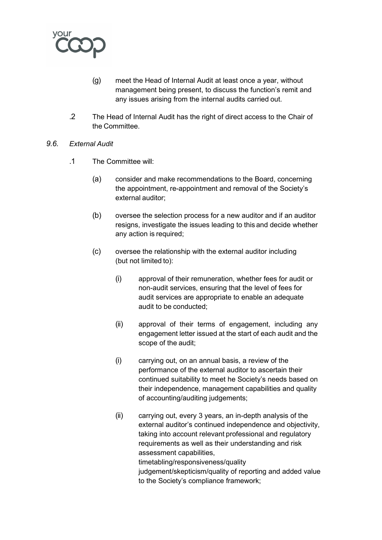

- (g) meet the Head of Internal Audit at least once a year, without management being present, to discuss the function's remit and any issues arising from the internal audits carried out.
- .2 The Head of Internal Audit has the right of direct access to the Chair of the Committee.
- *9.6. External Audit*
	- .1 The Committee will:
		- (a) consider and make recommendations to the Board, concerning the appointment, re-appointment and removal of the Society's external auditor;
		- (b) oversee the selection process for a new auditor and if an auditor resigns, investigate the issues leading to this and decide whether any action is required;
		- (c) oversee the relationship with the external auditor including (but not limited to):
			- (i) approval of their remuneration, whether fees for audit or non-audit services, ensuring that the level of fees for audit services are appropriate to enable an adequate audit to be conducted;
			- (ii) approval of their terms of engagement, including any engagement letter issued at the start of each audit and the scope of the audit;
			- (i) carrying out, on an annual basis, a review of the performance of the external auditor to ascertain their continued suitability to meet he Society's needs based on their independence, management capabilities and quality of accounting/auditing judgements;
			- (ii) carrying out, every 3 years, an in-depth analysis of the external auditor's continued independence and objectivity, taking into account relevant professional and regulatory requirements as well as their understanding and risk assessment capabilities, timetabling/responsiveness/quality judgement/skepticism/quality of reporting and added value to the Society's compliance framework;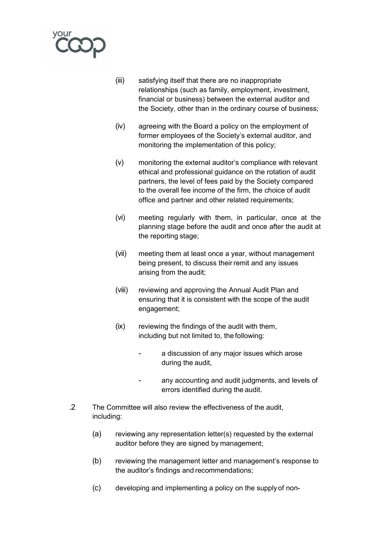

- (iii) satisfying itself that there are no inappropriate relationships (such as family, employment, investment, financial or business) between the external auditor and the Society, other than in the ordinary course of business;
- (iv) agreeing with the Board a policy on the employment of former employees of the Society's external auditor, and monitoring the implementation of this policy;
- (v) monitoring the external auditor's compliance with relevant ethical and professional guidance on the rotation of audit partners, the level of fees paid by the Society compared to the overall fee income of the firm, the choice of audit office and partner and other related requirements;
- (vi) meeting regularly with them, in particular, once at the planning stage before the audit and once after the audit at the reporting stage;
- (vii) meeting them at least once a year, without management being present, to discuss their remit and any issues arising from the audit;
- (viii) reviewing and approving the Annual Audit Plan and ensuring that it is consistent with the scope of the audit engagement;
- (ix) reviewing the findings of the audit with them, including but not limited to, the following:
	- a discussion of any major issues which arose during the audit,
	- any accounting and audit judgments, and levels of errors identified during the audit.
- .2 The Committee will also review the effectiveness of the audit, including:
	- (a) reviewing any representation letter(s) requested by the external auditor before they are signed by management;
	- (b) reviewing the management letter and management's response to the auditor's findings and recommendations;
	- (c) developing and implementing a policy on the supply of non-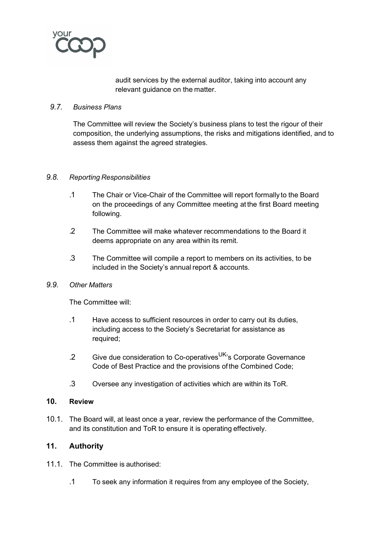

audit services by the external auditor, taking into account any relevant guidance on the matter.

#### *9.7. Business Plans*

The Committee will review the Society's business plans to test the rigour of their composition, the underlying assumptions, the risks and mitigations identified, and to assess them against the agreed strategies.

#### *9.8. Reporting Responsibilities*

- .1 The Chair or Vice-Chair of the Committee will report formally to the Board on the proceedings of any Committee meeting at the first Board meeting following.
- .2 The Committee will make whatever recommendations to the Board it deems appropriate on any area within its remit.
- .3 The Committee will compile a report to members on its activities, to be included in the Society's annual report & accounts.

## *9.9. Other Matters*

The Committee will:

- .1 Have access to sufficient resources in order to carry out its duties, including access to the Society's Secretariat for assistance as required;
- .2 Give due consideration to Co-operatives<sup>UK</sup>'s Corporate Governance Code of Best Practice and the provisions of the Combined Code;
- .3 Oversee any investigation of activities which are within its ToR.

#### **10. Review**

10.1. The Board will, at least once a year, review the performance of the Committee, and its constitution and ToR to ensure it is operating effectively.

## **11. Authority**

- 11.1. The Committee is authorised:
	- .1 To seek any information it requires from any employee of the Society,